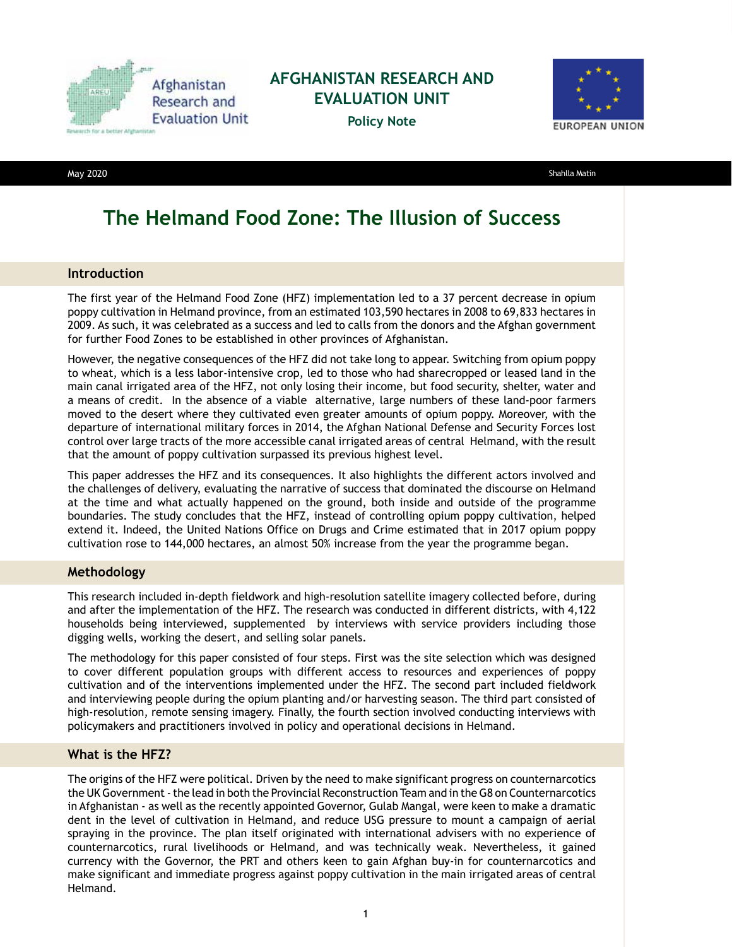

### **AFGHANISTAN RESEARCH AND EVALUATION UNIT**

**Policy Note**



May 2020 Shahlla Matin

# **The Helmand Food Zone: The Illusion of Success**

#### **Introduction**

The first year of the Helmand Food Zone (HFZ) implementation led to a 37 percent decrease in opium poppy cultivation in Helmand province, from an estimated 103,590 hectares in 2008 to 69,833 hectares in 2009. As such, it was celebrated as a success and led to calls from the donors and the Afghan government for further Food Zones to be established in other provinces of Afghanistan.

However, the negative consequences of the HFZ did not take long to appear. Switching from opium poppy to wheat, which is a less labor-intensive crop, led to those who had sharecropped or leased land in the main canal irrigated area of the HFZ, not only losing their income, but food security, shelter, water and a means of credit. In the absence of a viable alternative, large numbers of these land-poor farmers moved to the desert where they cultivated even greater amounts of opium poppy. Moreover, with the departure of international military forces in 2014, the Afghan National Defense and Security Forces lost control over large tracts of the more accessible canal irrigated areas of central Helmand, with the result that the amount of poppy cultivation surpassed its previous highest level.

This paper addresses the HFZ and its consequences. It also highlights the different actors involved and the challenges of delivery, evaluating the narrative of success that dominated the discourse on Helmand at the time and what actually happened on the ground, both inside and outside of the programme boundaries. The study concludes that the HFZ, instead of controlling opium poppy cultivation, helped extend it. Indeed, the United Nations Office on Drugs and Crime estimated that in 2017 opium poppy cultivation rose to 144,000 hectares, an almost 50% increase from the year the programme began.

#### **Methodology**

This research included in-depth fieldwork and high-resolution satellite imagery collected before, during and after the implementation of the HFZ. The research was conducted in different districts, with 4,122 households being interviewed, supplemented by interviews with service providers including those digging wells, working the desert, and selling solar panels.

The methodology for this paper consisted of four steps. First was the site selection which was designed to cover different population groups with different access to resources and experiences of poppy cultivation and of the interventions implemented under the HFZ. The second part included fieldwork and interviewing people during the opium planting and/or harvesting season. The third part consisted of high-resolution, remote sensing imagery. Finally, the fourth section involved conducting interviews with policymakers and practitioners involved in policy and operational decisions in Helmand.

#### **What is the HFZ?**

The origins of the HFZ were political. Driven by the need to make significant progress on counternarcotics the UK Government - the lead in both the Provincial Reconstruction Team and in the G8 on Counternarcotics in Afghanistan - as well as the recently appointed Governor, Gulab Mangal, were keen to make a dramatic dent in the level of cultivation in Helmand, and reduce USG pressure to mount a campaign of aerial spraying in the province. The plan itself originated with international advisers with no experience of counternarcotics, rural livelihoods or Helmand, and was technically weak. Nevertheless, it gained currency with the Governor, the PRT and others keen to gain Afghan buy-in for counternarcotics and make significant and immediate progress against poppy cultivation in the main irrigated areas of central Helmand.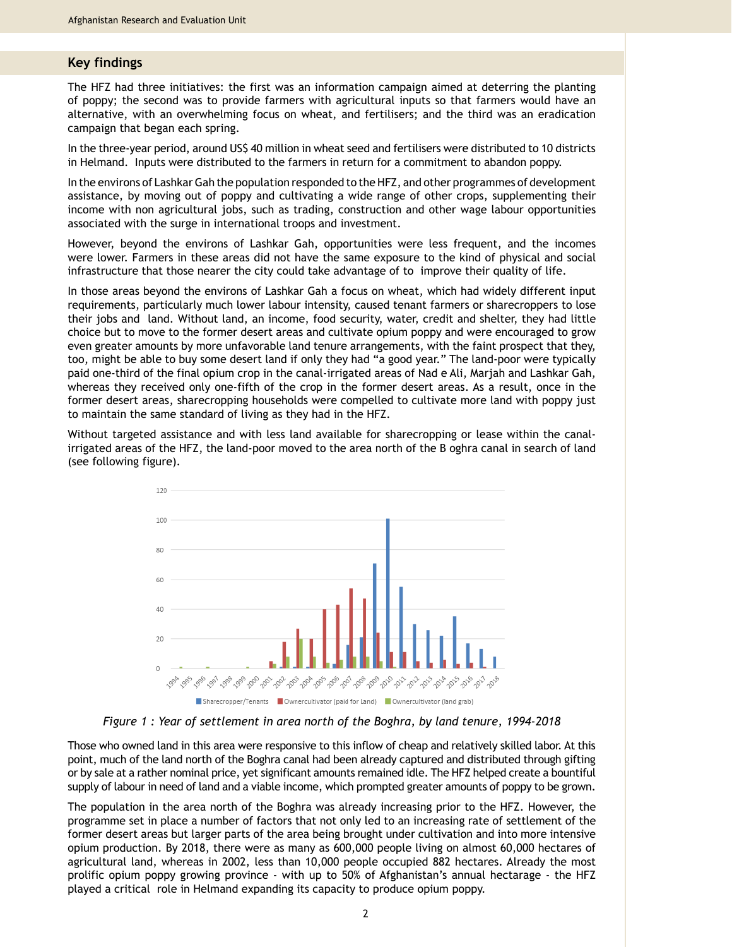#### **Key findings**

The HFZ had three initiatives: the first was an information campaign aimed at deterring the planting of poppy; the second was to provide farmers with agricultural inputs so that farmers would have an alternative, with an overwhelming focus on wheat, and fertilisers; and the third was an eradication campaign that began each spring.

In the three-year period, around US\$ 40 million in wheat seed and fertilisers were distributed to 10 districts in Helmand. Inputs were distributed to the farmers in return for a commitment to abandon poppy.

In the environs of Lashkar Gah the population responded to the HFZ, and other programmes of development assistance, by moving out of poppy and cultivating a wide range of other crops, supplementing their income with non agricultural jobs, such as trading, construction and other wage labour opportunities associated with the surge in international troops and investment.

However, beyond the environs of Lashkar Gah, opportunities were less frequent, and the incomes were lower. Farmers in these areas did not have the same exposure to the kind of physical and social infrastructure that those nearer the city could take advantage of to improve their quality of life.

In those areas beyond the environs of Lashkar Gah a focus on wheat, which had widely different input requirements, particularly much lower labour intensity, caused tenant farmers or sharecroppers to lose their jobs and land. Without land, an income, food security, water, credit and shelter, they had little choice but to move to the former desert areas and cultivate opium poppy and were encouraged to grow even greater amounts by more unfavorable land tenure arrangements, with the faint prospect that they, too, might be able to buy some desert land if only they had "a good year." The land-poor were typically paid one-third of the final opium crop in the canal-irrigated areas of Nad e Ali, Marjah and Lashkar Gah, whereas they received only one-fifth of the crop in the former desert areas. As a result, once in the former desert areas, sharecropping households were compelled to cultivate more land with poppy just to maintain the same standard of living as they had in the HFZ.

Without targeted assistance and with less land available for sharecropping or lease within the canalirrigated areas of the HFZ, the land-poor moved to the area north of the B oghra canal in search of land (see following figure).



*Figure 1 : Year of settlement in area north of the Boghra, by land tenure, 1994-2018*

Those who owned land in this area were responsive to this inflow of cheap and relatively skilled labor. At this point, much of the land north of the Boghra canal had been already captured and distributed through gifting or by sale at a rather nominal price, yet significant amounts remained idle. The HFZ helped create a bountiful supply of labour in need of land and a viable income, which prompted greater amounts of poppy to be grown.

The population in the area north of the Boghra was already increasing prior to the HFZ. However, the programme set in place a number of factors that not only led to an increasing rate of settlement of the former desert areas but larger parts of the area being brought under cultivation and into more intensive opium production. By 2018, there were as many as 600,000 people living on almost 60,000 hectares of agricultural land, whereas in 2002, less than 10,000 people occupied 882 hectares. Already the most prolific opium poppy growing province - with up to 50% of Afghanistan's annual hectarage - the HFZ played a critical role in Helmand expanding its capacity to produce opium poppy.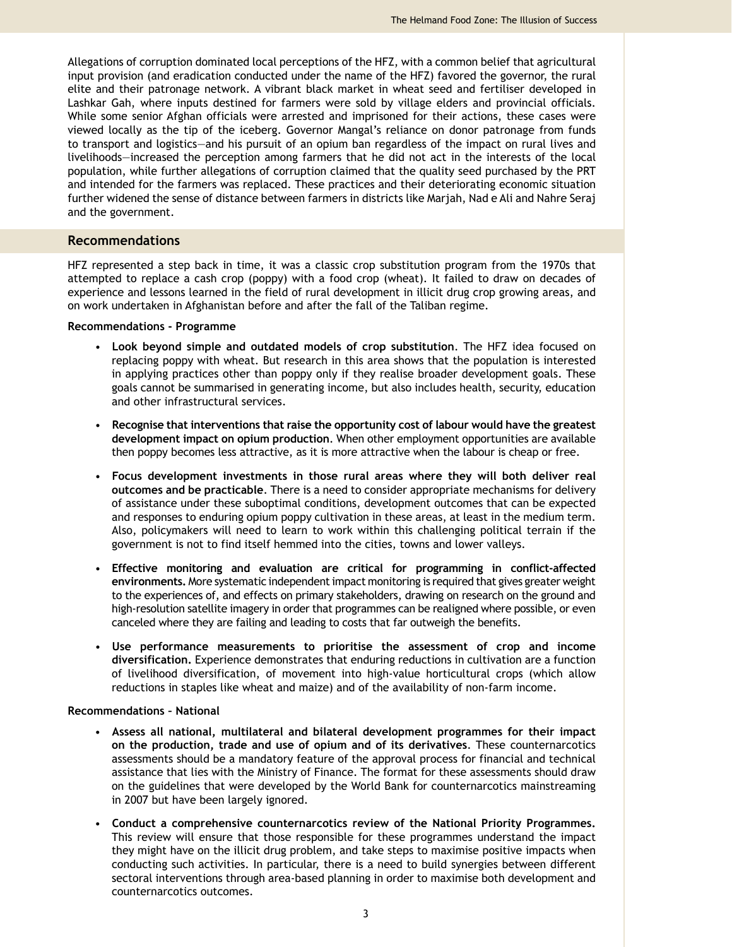Allegations of corruption dominated local perceptions of the HFZ, with a common belief that agricultural input provision (and eradication conducted under the name of the HFZ) favored the governor, the rural elite and their patronage network. A vibrant black market in wheat seed and fertiliser developed in Lashkar Gah, where inputs destined for farmers were sold by village elders and provincial officials. While some senior Afghan officials were arrested and imprisoned for their actions, these cases were viewed locally as the tip of the iceberg. Governor Mangal's reliance on donor patronage from funds to transport and logistics—and his pursuit of an opium ban regardless of the impact on rural lives and livelihoods—increased the perception among farmers that he did not act in the interests of the local population, while further allegations of corruption claimed that the quality seed purchased by the PRT and intended for the farmers was replaced. These practices and their deteriorating economic situation further widened the sense of distance between farmers in districts like Marjah, Nad e Ali and Nahre Seraj and the government.

#### **Recommendations**

HFZ represented a step back in time, it was a classic crop substitution program from the 1970s that attempted to replace a cash crop (poppy) with a food crop (wheat). It failed to draw on decades of experience and lessons learned in the field of rural development in illicit drug crop growing areas, and on work undertaken in Afghanistan before and after the fall of the Taliban regime.

#### **Recommendations - Programme**

- **Look beyond simple and outdated models of crop substitution**. The HFZ idea focused on replacing poppy with wheat. But research in this area shows that the population is interested in applying practices other than poppy only if they realise broader development goals. These goals cannot be summarised in generating income, but also includes health, security, education and other infrastructural services.
- **Recognise that interventions that raise the opportunity cost of labour would have the greatest development impact on opium production**. When other employment opportunities are available then poppy becomes less attractive, as it is more attractive when the labour is cheap or free.
- **Focus development investments in those rural areas where they will both deliver real outcomes and be practicable**. There is a need to consider appropriate mechanisms for delivery of assistance under these suboptimal conditions, development outcomes that can be expected and responses to enduring opium poppy cultivation in these areas, at least in the medium term. Also, policymakers will need to learn to work within this challenging political terrain if the government is not to find itself hemmed into the cities, towns and lower valleys.
- **Effective monitoring and evaluation are critical for programming in conflict-affected environments.** More systematic independent impact monitoring is required that gives greater weight to the experiences of, and effects on primary stakeholders, drawing on research on the ground and high-resolution satellite imagery in order that programmes can be realigned where possible, or even canceled where they are failing and leading to costs that far outweigh the benefits.
- **Use performance measurements to prioritise the assessment of crop and income diversification.** Experience demonstrates that enduring reductions in cultivation are a function of livelihood diversification, of movement into high-value horticultural crops (which allow reductions in staples like wheat and maize) and of the availability of non-farm income.

#### **Recommendations – National**

- **Assess all national, multilateral and bilateral development programmes for their impact on the production, trade and use of opium and of its derivatives**. These counternarcotics assessments should be a mandatory feature of the approval process for financial and technical assistance that lies with the Ministry of Finance. The format for these assessments should draw on the guidelines that were developed by the World Bank for counternarcotics mainstreaming in 2007 but have been largely ignored.
- **Conduct a comprehensive counternarcotics review of the National Priority Programmes.**  This review will ensure that those responsible for these programmes understand the impact they might have on the illicit drug problem, and take steps to maximise positive impacts when conducting such activities. In particular, there is a need to build synergies between different sectoral interventions through area-based planning in order to maximise both development and counternarcotics outcomes.